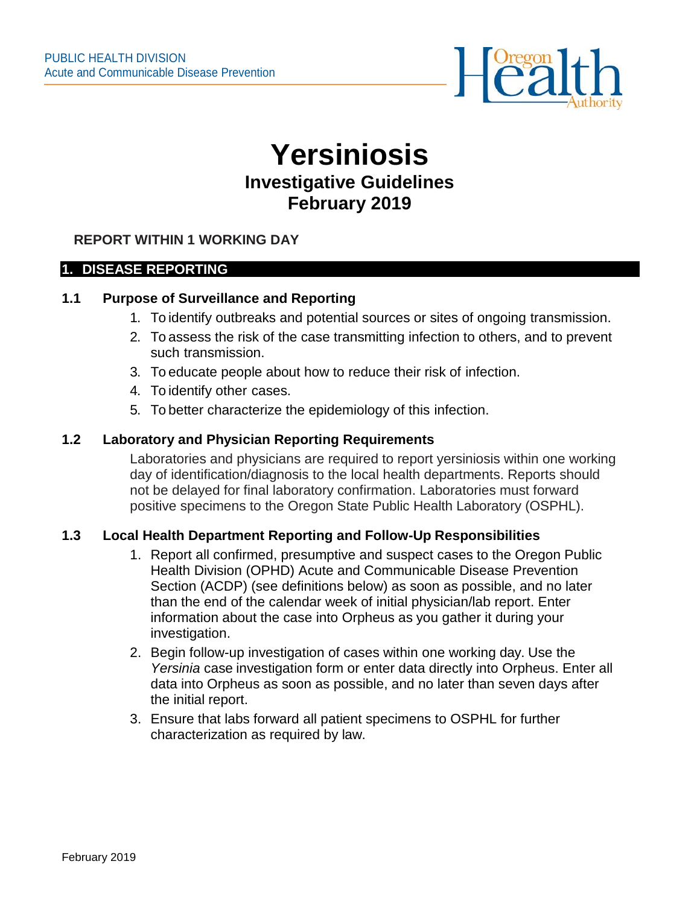

# **Yersiniosis Investigative Guidelines February 2019**

# **REPORT WITHIN 1 WORKING DAY**

#### **1. DISEASE REPORTING**

#### **1.1 Purpose of Surveillance and Reporting**

- 1. To identify outbreaks and potential sources or sites of ongoing transmission.
- 2. To assess the risk of the case transmitting infection to others, and to prevent such transmission.
- 3. To educate people about how to reduce their risk of infection.
- 4. To identify other cases.
- 5. To better characterize the epidemiology of this infection.

#### **1.2 Laboratory and Physician Reporting Requirements**

Laboratories and physicians are required to report yersiniosis within one working day of identification/diagnosis to the local health departments. Reports should not be delayed for final laboratory confirmation. Laboratories must forward positive specimens to the Oregon State Public Health Laboratory (OSPHL).

## **1.3 Local Health Department Reporting and Follow-Up Responsibilities**

- 1. Report all confirmed, presumptive and suspect cases to the Oregon Public Health Division (OPHD) Acute and Communicable Disease Prevention Section (ACDP) (see definitions below) as soon as possible, and no later than the end of the calendar week of initial physician/lab report. Enter information about the case into Orpheus as you gather it during your investigation.
- 2. Begin follow-up investigation of cases within one working day. Use the *Yersinia* case [investigation form](http://public.health.oregon.gov/DiseasesConditions/DiseasesAZ/Pages/disease.aspx?did=70%20) or enter data directly into Orpheus. Enter all data into Orpheus as soon as possible, and no later than seven days after the initial report.
- 3. Ensure that labs forward all patient specimens to OSPHL for further characterization as required by law.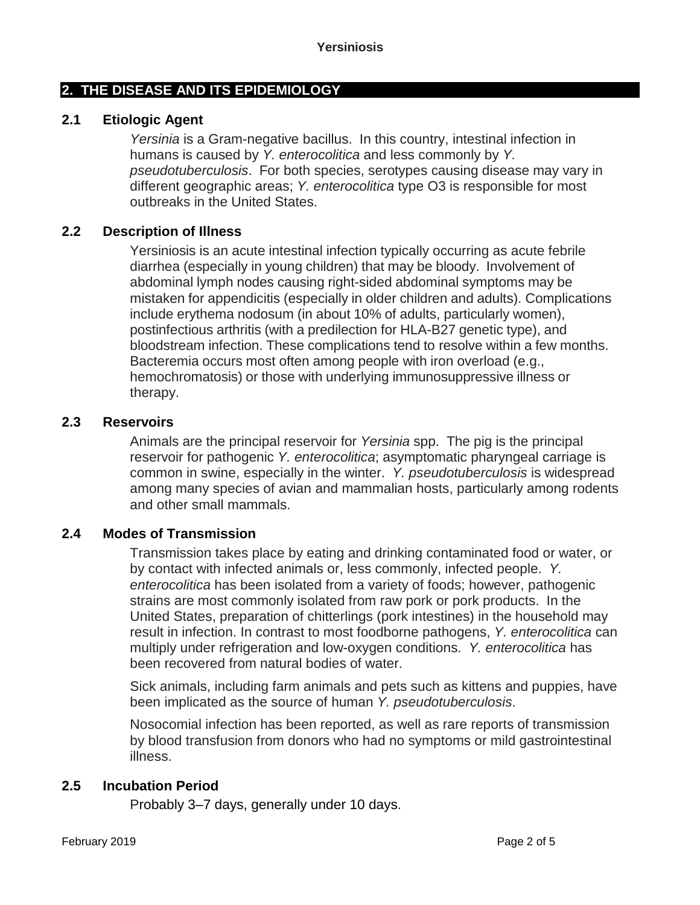# **2. THE DISEASE AND ITS EPIDEMIOLOGY**

## **2.1 Etiologic Agent**

*Yersinia* is a Gram-negative bacillus. In this country, intestinal infection in humans is caused by *Y. enterocolitica* and less commonly by *Y. pseudotuberculosis*. For both species, serotypes causing disease may vary in different geographic areas; *Y. enterocolitica* type O3 is responsible for most outbreaks in the United States.

## **2.2 Description of Illness**

Yersiniosis is an acute intestinal infection typically occurring as acute febrile diarrhea (especially in young children) that may be bloody. Involvement of abdominal lymph nodes causing right-sided abdominal symptoms may be mistaken for appendicitis (especially in older children and adults). Complications include erythema nodosum (in about 10% of adults, particularly women), postinfectious arthritis (with a predilection for HLA-B27 genetic type), and bloodstream infection. These complications tend to resolve within a few months. Bacteremia occurs most often among people with iron overload (e.g., hemochromatosis) or those with underlying immunosuppressive illness or therapy.

## **2.3 Reservoirs**

Animals are the principal reservoir for *Yersinia* spp. The pig is the principal reservoir for pathogenic *Y. enterocolitica*; asymptomatic pharyngeal carriage is common in swine, especially in the winter. *Y. pseudotuberculosis* is widespread among many species of avian and mammalian hosts, particularly among rodents and other small mammals.

## **2.4 Modes of Transmission**

Transmission takes place by eating and drinking contaminated food or water, or by contact with infected animals or, less commonly, infected people. *Y. enterocolitica* has been isolated from a variety of foods; however, pathogenic strains are most commonly isolated from raw pork or pork products. In the United States, preparation of chitterlings (pork intestines) in the household may result in infection. In contrast to most foodborne pathogens, *Y. enterocolitica* can multiply under refrigeration and low-oxygen conditions. *Y. enterocolitica* has been recovered from natural bodies of water.

Sick animals, including farm animals and pets such as kittens and puppies, have been implicated as the source of human *Y. pseudotuberculosis*.

Nosocomial infection has been reported, as well as rare reports of transmission by blood transfusion from donors who had no symptoms or mild gastrointestinal illness.

#### **2.5 Incubation Period**

Probably 3–7 days, generally under 10 days.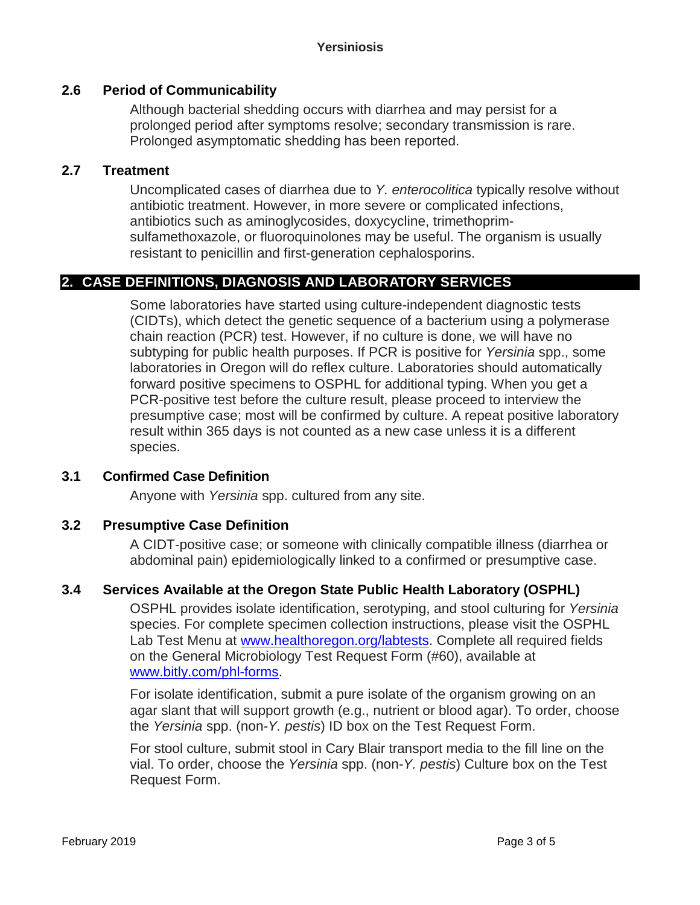# **2.6 Period of Communicability**

Although bacterial shedding occurs with diarrhea and may persist for a prolonged period after symptoms resolve; secondary transmission is rare. Prolonged asymptomatic shedding has been reported.

## **2.7 Treatment**

Uncomplicated cases of diarrhea due to *Y. enterocolitica* typically resolve without antibiotic treatment. However, in more severe or complicated infections, antibiotics such as aminoglycosides, doxycycline, trimethoprimsulfamethoxazole, or fluoroquinolones may be useful. The organism is usually resistant to penicillin and first-generation cephalosporins.

# **2. CASE DEFINITIONS, DIAGNOSIS AND LABORATORY SERVICES**

Some laboratories have started using culture-independent diagnostic tests (CIDTs), which detect the genetic sequence of a bacterium using a polymerase chain reaction (PCR) test. However, if no culture is done, we will have no subtyping for public health purposes. If PCR is positive for *Yersinia* spp., some laboratories in Oregon will do reflex culture. Laboratories should automatically forward positive specimens to OSPHL for additional typing. When you get a PCR-positive test before the culture result, please proceed to interview the presumptive case; most will be confirmed by culture. A repeat positive laboratory result within 365 days is not counted as a new case unless it is a different species.

## **3.1 Confirmed Case Definition**

Anyone with *Yersinia* spp. cultured from any site.

## **3.2 Presumptive Case Definition**

A CIDT-positive case; or someone with clinically compatible illness (diarrhea or abdominal pain) epidemiologically linked to a confirmed or presumptive case.

## **3.4 Services Available at the Oregon State Public Health Laboratory (OSPHL)**

OSPHL provides isolate identification, serotyping, and stool culturing for *Yersinia* species. For complete specimen collection instructions, please visit the OSPHL Lab Test Menu at [www.healthoregon.org/labtests.](http://www.healthoregon.org/labtests) Complete all required fields on the General Microbiology Test Request Form (#60), available at [www.bitly.com/phl-forms.](http://www.bitly.com/phl-forms)

For isolate identification, submit a pure isolate of the organism growing on an agar slant that will support growth (e.g., nutrient or blood agar). To order, choose the *Yersinia* spp. (non-*Y. pestis*) ID box on the Test Request Form.

For stool culture, submit stool in Cary Blair transport media to the fill line on the vial. To order, choose the *Yersinia* spp. (non-*Y. pestis*) Culture box on the Test Request Form.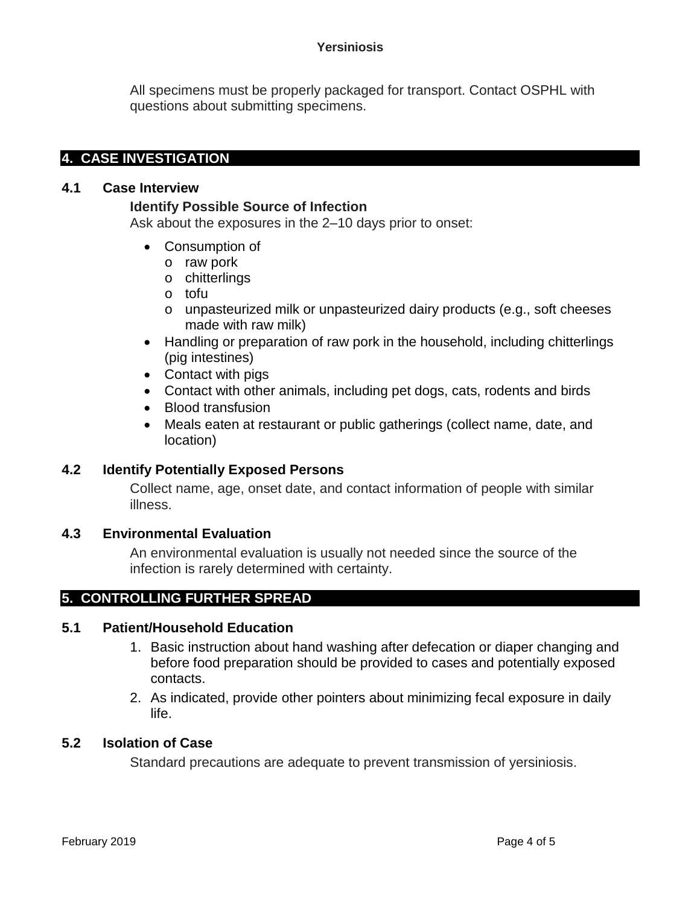#### **Yersiniosis**

All specimens must be properly packaged for transport. Contact OSPHL with questions about submitting specimens.

# **4. CASE INVESTIGATION**

## **4.1 Case Interview**

## **Identify Possible Source of Infection**

Ask about the exposures in the 2–10 days prior to onset:

- Consumption of
	- o raw pork
	- o chitterlings
	- o tofu
	- o unpasteurized milk or unpasteurized dairy products (e.g., soft cheeses made with raw milk)
- Handling or preparation of raw pork in the household, including chitterlings (pig intestines)
- Contact with pigs
- Contact with other animals, including pet dogs, cats, rodents and birds
- Blood transfusion
- Meals eaten at restaurant or public gatherings (collect name, date, and location)

## **4.2 Identify Potentially Exposed Persons**

Collect name, age, onset date, and contact information of people with similar illness.

## **4.3 Environmental Evaluation**

An environmental evaluation is usually not needed since the source of the infection is rarely determined with certainty.

# **5. CONTROLLING FURTHER SPREAD**

## **5.1 Patient/Household Education**

- 1. Basic instruction about hand washing after defecation or diaper changing and before food preparation should be provided to cases and potentially exposed contacts.
- 2. As indicated, provide other pointers about minimizing fecal exposure in daily life.

# **5.2 Isolation of Case**

Standard precautions are adequate to prevent transmission of yersiniosis.